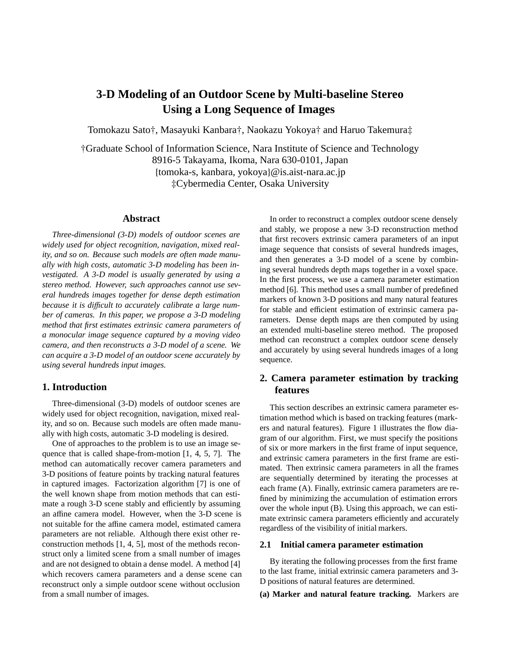# **3-D Modeling of an Outdoor Scene by Multi-baseline Stereo Using a Long Sequence of Images**

Tomokazu Sato†, Masayuki Kanbara†, Naokazu Yokoya† and Haruo Takemura‡

†Graduate School of Information Science, Nara Institute of Science and Technology 8916-5 Takayama, Ikoma, Nara 630-0101, Japan {tomoka-s, kanbara, yokoya}@is.aist-nara.ac.jp ‡Cybermedia Center, Osaka University

# **Abstract**

*Three-dimensional (3-D) models of outdoor scenes are widely used for object recognition, navigation, mixed reality, and so on. Because such models are often made manually with high costs, automatic 3-D modeling has been investigated. A 3-D model is usually generated by using a stereo method. However, such approaches cannot use several hundreds images together for dense depth estimation because it is di*ffi*cult to accurately calibrate a large number of cameras. In this paper, we propose a 3-D modeling method that first estimates extrinsic camera parameters of a monocular image sequence captured by a moving video camera, and then reconstructs a 3-D model of a scene. We can acquire a 3-D model of an outdoor scene accurately by using several hundreds input images.*

## **1. Introduction**

Three-dimensional (3-D) models of outdoor scenes are widely used for object recognition, navigation, mixed reality, and so on. Because such models are often made manually with high costs, automatic 3-D modeling is desired.

One of approaches to the problem is to use an image sequence that is called shape-from-motion [1, 4, 5, 7]. The method can automatically recover camera parameters and 3-D positions of feature points by tracking natural features in captured images. Factorization algorithm [7] is one of the well known shape from motion methods that can estimate a rough 3-D scene stably and efficiently by assuming an affine camera model. However, when the 3-D scene is not suitable for the affine camera model, estimated camera parameters are not reliable. Although there exist other reconstruction methods [1, 4, 5], most of the methods reconstruct only a limited scene from a small number of images and are not designed to obtain a dense model. A method [4] which recovers camera parameters and a dense scene can reconstruct only a simple outdoor scene without occlusion from a small number of images.

In order to reconstruct a complex outdoor scene densely and stably, we propose a new 3-D reconstruction method that first recovers extrinsic camera parameters of an input image sequence that consists of several hundreds images, and then generates a 3-D model of a scene by combining several hundreds depth maps together in a voxel space. In the first process, we use a camera parameter estimation method [6]. This method uses a small number of predefined markers of known 3-D positions and many natural features for stable and efficient estimation of extrinsic camera parameters. Dense depth maps are then computed by using an extended multi-baseline stereo method. The proposed method can reconstruct a complex outdoor scene densely and accurately by using several hundreds images of a long sequence.

# **2. Camera parameter estimation by tracking features**

This section describes an extrinsic camera parameter estimation method which is based on tracking features (markers and natural features). Figure 1 illustrates the flow diagram of our algorithm. First, we must specify the positions of six or more markers in the first frame of input sequence, and extrinsic camera parameters in the first frame are estimated. Then extrinsic camera parameters in all the frames are sequentially determined by iterating the processes at each frame (A). Finally, extrinsic camera parameters are refined by minimizing the accumulation of estimation errors over the whole input (B). Using this approach, we can estimate extrinsic camera parameters efficiently and accurately regardless of the visibility of initial markers.

#### **2.1 Initial camera parameter estimation**

By iterating the following processes from the first frame to the last frame, initial extrinsic camera parameters and 3- D positions of natural features are determined.

**(a) Marker and natural feature tracking.** Markers are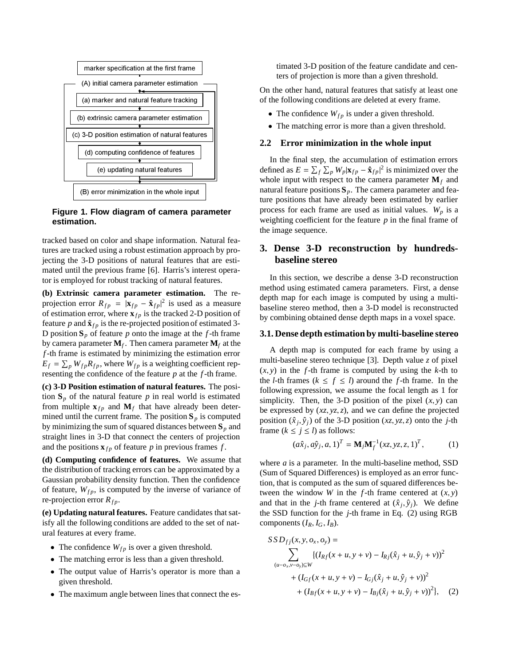

# **Figure 1. Flow diagram of camera parameter estimation.**

tracked based on color and shape information. Natural features are tracked using a robust estimation approach by projecting the 3-D positions of natural features that are estimated until the previous frame [6]. Harris's interest operator is employed for robust tracking of natural features.

**(b) Extrinsic camera parameter estimation.** The reprojection error  $R_{fp} = |\mathbf{x}_{fp} - \hat{\mathbf{x}}_{fp}|^2$  is used as a measure of estimation error, where  $\mathbf{x}_{fp}$  is the tracked 2-D position of feature  $p$  and  $\hat{\mathbf{x}}_{fp}$  is the re-projected position of estimated 3-D position  $S_p$  of feature p onto the image at the f-th frame by camera parameter  $M_f$ . Then camera parameter  $M_f$  at the *f*-th frame is estimated by minimizing the estimation error  $E_f = \sum_p W_{fp} R_{fp}$ , where  $W_{fp}$  is a weighting coefficient representing the confidence of the feature *p* at the *f*-th frame.

**(c) 3-D Position estimation of natural features.** The position  $S_p$  of the natural feature  $p$  in real world is estimated from multiple  $\mathbf{x}_{fp}$  and  $\mathbf{M}_f$  that have already been determined until the current frame. The position  $S_p$  is computed by minimizing the sum of squared distances between **S***<sup>p</sup>* and straight lines in 3-D that connect the centers of projection and the positions  $\mathbf{x}_{fp}$  of feature *p* in previous frames *f*.

**(d) Computing confidence of features.** We assume that the distribution of tracking errors can be approximated by a Gaussian probability density function. Then the confidence of feature,  $W_{fp}$ , is computed by the inverse of variance of re-projection error  $R_{fp}$ .

**(e) Updating natural features.** Feature candidates that satisfy all the following conditions are added to the set of natural features at every frame.

- The confidence  $W_{fp}$  is over a given threshold.
- The matching error is less than a given threshold.
- The output value of Harris's operator is more than a given threshold.
- The maximum angle between lines that connect the es-

timated 3-D position of the feature candidate and centers of projection is more than a given threshold.

On the other hand, natural features that satisfy at least one of the following conditions are deleted at every frame.

- The confidence  $W_{fp}$  is under a given threshold.
- The matching error is more than a given threshold.

## **2.2 Error minimization in the whole input**

In the final step, the accumulation of estimation errors defined as  $E = \sum_f \sum_p W_p |\mathbf{x}_{fp} - \hat{\mathbf{x}}_{fp}|^2$  is minimized over the whole input with respect to the camera parameter  $M_f$  and natural feature positions  $S_p$ . The camera parameter and feature positions that have already been estimated by earlier process for each frame are used as initial values.  $W_p$  is a weighting coefficient for the feature *p* in the final frame of the image sequence.

# **3. Dense 3-D reconstruction by hundredsbaseline stereo**

In this section, we describe a dense 3-D reconstruction method using estimated camera parameters. First, a dense depth map for each image is computed by using a multibaseline stereo method, then a 3-D model is reconstructed by combining obtained dense depth maps in a voxel space.

#### **3.1. Dense depth estimation by multi-baseline stereo**

A depth map is computed for each frame by using a multi-baseline stereo technique [3]. Depth value *z* of pixel  $(x, y)$  in the *f*-th frame is computed by using the *k*-th to the *l*-th frames ( $k \leq f \leq l$ ) around the *f*-th frame. In the following expression, we assume the focal length as 1 for simplicity. Then, the 3-D position of the pixel  $(x, y)$  can be expressed by  $(xz, yz, z)$ , and we can define the projected position  $(\hat{x}_i, \hat{y}_i)$  of the 3-D position  $(xz, yz, z)$  onto the *j*-th frame  $(k \le j \le l)$  as follows:

$$
(a\hat{x}_j, a\hat{y}_j, a, 1)^T = \mathbf{M}_j \mathbf{M}_f^{-1} (xz, yz, z, 1)^T, \tag{1}
$$

where *a* is a parameter. In the multi-baseline method, SSD (Sum of Squared Differences) is employed as an error function, that is computed as the sum of squared differences between the window *W* in the *f*-th frame centered at  $(x, y)$ and that in the *j*-th frame centered at  $(\hat{x}_i, \hat{y}_i)$ . We define the SSD function for the *j*-th frame in Eq. (2) using RGB components  $(I_R, I_G, I_B)$ .

$$
SD_{fj}(x, y, o_x, o_y) =
$$
  
\n
$$
\sum_{(u-o_x, v-o_y) \subseteq W} \{ (I_{Rf}(x+u, y+v) - I_{Rj}(\hat{x}_j+u, \hat{y}_j+v))^2
$$
  
\n
$$
+ (I_{Gf}(x+u, y+v) - I_{Gj}(\hat{x}_j+u, \hat{y}_j+v))^2
$$
  
\n
$$
+ (I_{Bf}(x+u, y+v) - I_{Bj}(\hat{x}_j+u, \hat{y}_j+v))^2 \}, (2)
$$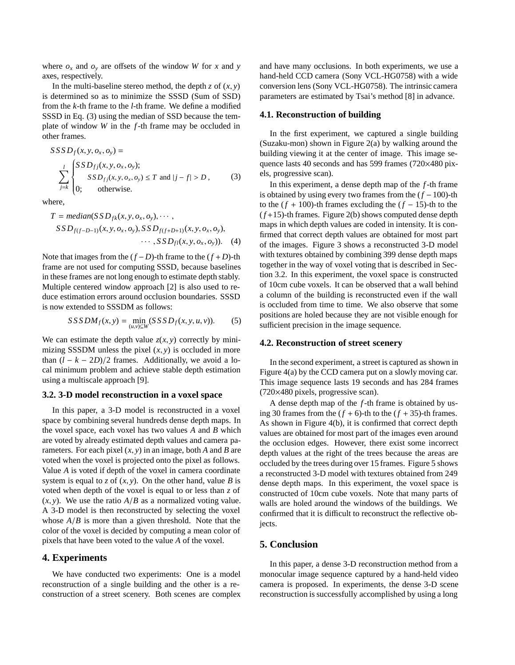where  $o_x$  and  $o_y$  are offsets of the window *W* for *x* and *y* axes, respectively.

In the multi-baseline stereo method, the depth  $z$  of  $(x, y)$ is determined so as to minimize the SSSD (Sum of SSD) from the *k*-th frame to the *l*-th frame. We define a modified SSSD in Eq. (3) using the median of SSD because the template of window *W* in the *f*-th frame may be occluded in other frames.

$$
SSSD_f(x, y, o_x, o_y) =
$$
  
\n
$$
\sum_{j=k}^{l} \begin{cases} SSD_{fj}(x, y, o_x, o_y); \\ SSD_{fj}(x, y, o_x, o_y) \le T \text{ and } |j - f| > D, \\ 0; \quad \text{otherwise.} \end{cases}
$$
 (3)

where,

$$
T = median(SSD_{fk}(x, y, o_x, o_y), \cdots, SSD_{f(f-D-1)}(x, y, o_x, o_y), SSD_{f(f+D+1)}(x, y, o_x, o_y), ... , SSD_{f1}(x, y, o_x, o_y)).
$$
 (4)

Note that images from the  $(f - D)$ -th frame to the  $(f + D)$ -th frame are not used for computing SSSD, because baselines in these frames are not long enough to estimate depth stably. Multiple centered window approach [2] is also used to reduce estimation errors around occlusion boundaries. SSSD is now extended to SSSDM as follows:

$$
SSSDM_f(x, y) = \min_{(u,v)\subseteq W} (SSSD_f(x, y, u, v)).
$$
 (5)

We can estimate the depth value  $z(x, y)$  correctly by minimizing SSSDM unless the pixel  $(x, y)$  is occluded in more than  $(l - k - 2D)/2$  frames. Additionally, we avoid a local minimum problem and achieve stable depth estimation using a multiscale approach [9].

#### **3.2. 3-D model reconstruction in a voxel space**

In this paper, a 3-D model is reconstructed in a voxel space by combining several hundreds dense depth maps. In the voxel space, each voxel has two values *A* and *B* which are voted by already estimated depth values and camera parameters. For each pixel (*x*, *y*) in an image, both *A* and *B* are voted when the voxel is projected onto the pixel as follows. Value *A* is voted if depth of the voxel in camera coordinate system is equal to *z* of  $(x, y)$ . On the other hand, value *B* is voted when depth of the voxel is equal to or less than *z* of  $(x, y)$ . We use the ratio  $A/B$  as a normalized voting value. A 3-D model is then reconstructed by selecting the voxel whose *A*/*B* is more than a given threshold. Note that the color of the voxel is decided by computing a mean color of pixels that have been voted to the value *A* of the voxel.

# **4. Experiments**

We have conducted two experiments: One is a model reconstruction of a single building and the other is a reconstruction of a street scenery. Both scenes are complex and have many occlusions. In both experiments, we use a hand-held CCD camera (Sony VCL-HG0758) with a wide conversion lens (Sony VCL-HG0758). The intrinsic camera parameters are estimated by Tsai's method [8] in advance.

#### **4.1. Reconstruction of building**

In the first experiment, we captured a single building (Suzaku-mon) shown in Figure 2(a) by walking around the building viewing it at the center of image. This image sequence lasts 40 seconds and has 599 frames (720×480 pixels, progressive scan).

In this experiment, a dense depth map of the *f*-th frame is obtained by using every two frames from the (*f* −100)-th to the  $(f + 100)$ -th frames excluding the  $(f - 15)$ -th to the (*f* +15)-th frames. Figure 2(b) shows computed dense depth maps in which depth values are coded in intensity. It is confirmed that correct depth values are obtained for most part of the images. Figure 3 shows a reconstructed 3-D model with textures obtained by combining 399 dense depth maps together in the way of voxel voting that is described in Section 3.2. In this experiment, the voxel space is constructed of 10cm cube voxels. It can be observed that a wall behind a column of the building is reconstructed even if the wall is occluded from time to time. We also observe that some positions are holed because they are not visible enough for sufficient precision in the image sequence.

#### **4.2. Reconstruction of street scenery**

In the second experiment, a street is captured as shown in Figure 4(a) by the CCD camera put on a slowly moving car. This image sequence lasts 19 seconds and has 284 frames (720×480 pixels, progressive scan).

A dense depth map of the *f*-th frame is obtained by using 30 frames from the  $(f + 6)$ -th to the  $(f + 35)$ -th frames. As shown in Figure 4(b), it is confirmed that correct depth values are obtained for most part of the images even around the occlusion edges. However, there exist some incorrect depth values at the right of the trees because the areas are occluded by the trees during over 15 frames. Figure 5 shows a reconstructed 3-D model with textures obtained from 249 dense depth maps. In this experiment, the voxel space is constructed of 10cm cube voxels. Note that many parts of walls are holed around the windows of the buildings. We confirmed that it is difficult to reconstruct the reflective objects.

# **5. Conclusion**

In this paper, a dense 3-D reconstruction method from a monocular image sequence captured by a hand-held video camera is proposed. In experiments, the dense 3-D scene reconstruction is successfully accomplished by using a long